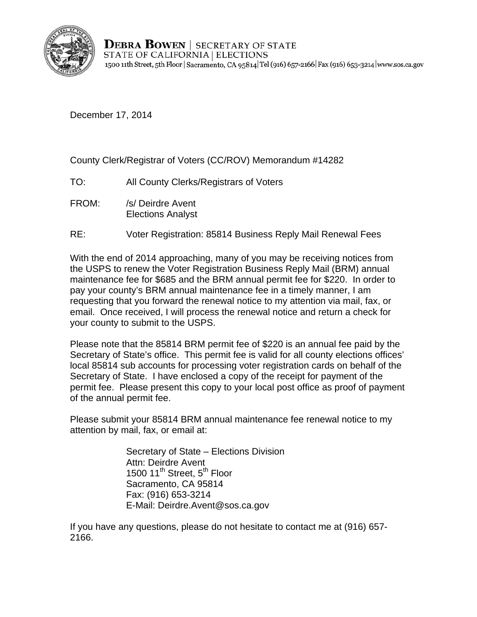

**DEBRA BOWEN** | SECRETARY OF STATE STATE OF CALIFORNIA | ELECTIONS 1500 11th Street, 5th Floor | Sacramento, CA 95814 Tel (916) 657-2166 | Fax (916) 653-3214 | www.sos.ca.gov

December 17, 2014

County Clerk/Registrar of Voters (CC/ROV) Memorandum #14282

- TO: All County Clerks/Registrars of Voters
- FROM: /s/ Deirdre Avent Elections Analyst
- RE: Voter Registration: 85814 Business Reply Mail Renewal Fees

With the end of 2014 approaching, many of you may be receiving notices from the USPS to renew the Voter Registration Business Reply Mail (BRM) annual maintenance fee for \$685 and the BRM annual permit fee for \$220. In order to pay your county's BRM annual maintenance fee in a timely manner, I am requesting that you forward the renewal notice to my attention via mail, fax, or email. Once received, I will process the renewal notice and return a check for your county to submit to the USPS.

Please note that the 85814 BRM permit fee of \$220 is an annual fee paid by the Secretary of State's office. This permit fee is valid for all county elections offices' local 85814 sub accounts for processing voter registration cards on behalf of the Secretary of State. I have enclosed a copy of the receipt for payment of the permit fee. Please present this copy to your local post office as proof of payment of the annual permit fee.

Please submit your 85814 BRM annual maintenance fee renewal notice to my attention by mail, fax, or email at:

> Secretary of State – Elections Division Attn: Deirdre Avent 1500 11<sup>th</sup> Street, 5<sup>th</sup> Floor Sacramento, CA 95814 Fax: (916) 653-3214 E-Mail: Deirdre.Avent@sos.ca.gov

If you have any questions, please do not hesitate to contact me at (916) 657- 2166.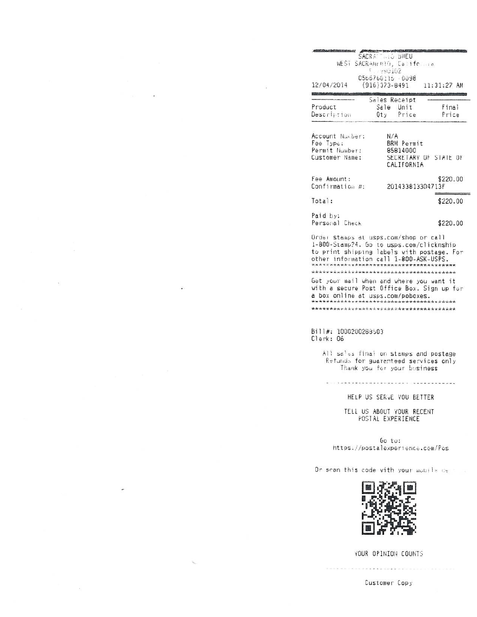|                                       | SACRA TIMES BMEU                                     |                  |                               |  |
|---------------------------------------|------------------------------------------------------|------------------|-------------------------------|--|
|                                       | WEST SACRAMINTO, California<br>$\epsilon$ , $-90102$ |                  |                               |  |
| 12/04/2014                            | 0566760115 - 0098                                    |                  | $(916)373 - 8491$ 11:31:27 AM |  |
|                                       |                                                      | Sales Receipt    |                               |  |
| Product                               |                                                      | Sale Unit        | Final                         |  |
| Description                           |                                                      | Qty Price        | Price                         |  |
| Customer Name:                        |                                                      | CALIFORNIA       | SECRETARY OF STATE OF         |  |
| Fee Amount:                           |                                                      |                  | \$220.00                      |  |
| Confirmation #:                       |                                                      | 201433813304713F |                               |  |
| Total:                                |                                                      |                  | \$220.00                      |  |
| Paid by:                              |                                                      |                  |                               |  |
| Personal Check                        |                                                      |                  | \$220.00                      |  |
| Order stamps at usps.com/shop or call |                                                      |                  |                               |  |

1-800-Stamp?4. Go to usps.com/clicknship to print shipping labels with postage. For other information call 1-800-ASK-USPS. Get your mail when and where you want it with a secure Post Office Box. Sign up for a box online at usps.com/poboxes. 

## Bill#: 1000200288503 Clerk: 06

All seles final on stamps and postage Refunds for guaranteed services only Thank you for your business

-----------------------------------

HELP US SERVE YOU BETTER

TELL US ABOUT YOUR RECENT<br>POSTAL EXPERIENCE

Go to: https://postalexperience.com/Pos

Or scan this code with your mobile  $ds$ 



YOUR OPINION COUNTS

Customer Copy